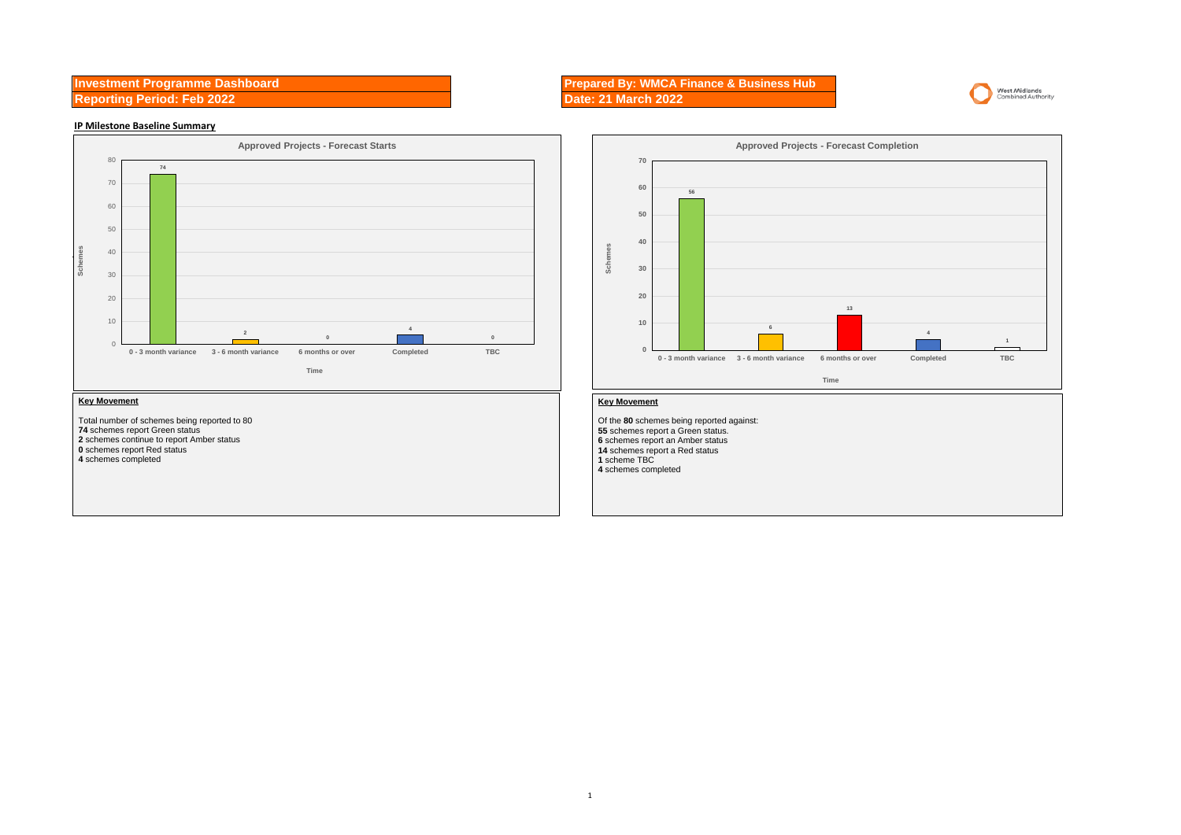## **Investment Programme Dashboard**

**Reporting Period: Feb 2022 Date: 21 March 2022** 

## **IP Milestone Baseline Summary**



Total number of schemes being reported to 80 **74** schemes report Green status schemes continue to report Amber status schemes report Red status

schemes completed

**Prepared By: WMCA Finance & Business Hub**



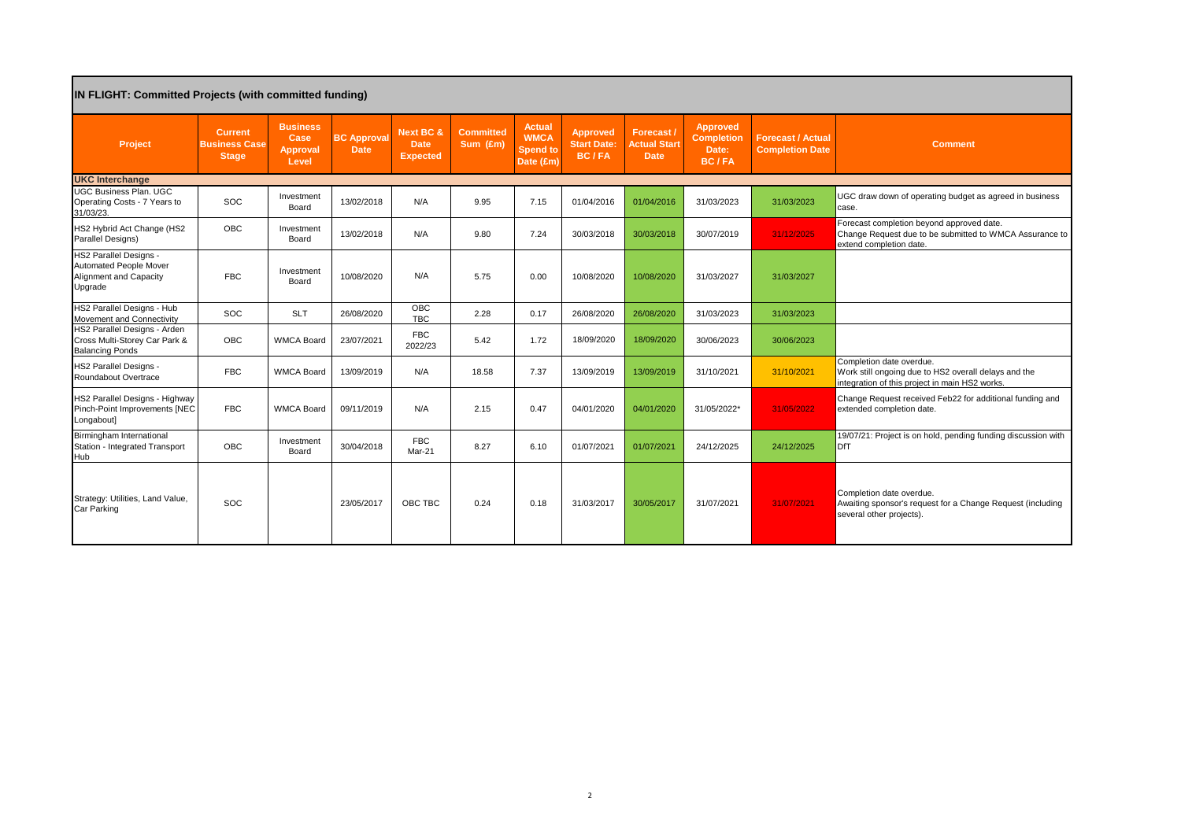| <b>IN FLIGHT: Committed Projects (with committed funding)</b>                                |                                                        |                                                     |                                   |                                             |                              |                                                              |                                         |                                                  |                                                 |                                                    |                                                                                                                                   |
|----------------------------------------------------------------------------------------------|--------------------------------------------------------|-----------------------------------------------------|-----------------------------------|---------------------------------------------|------------------------------|--------------------------------------------------------------|-----------------------------------------|--------------------------------------------------|-------------------------------------------------|----------------------------------------------------|-----------------------------------------------------------------------------------------------------------------------------------|
| Project                                                                                      | <b>Current</b><br><b>Business Case</b><br><b>Stage</b> | <b>Business</b><br>Case<br><b>Approval</b><br>Level | <b>BC Approval</b><br><b>Date</b> | Next BC &<br><b>Date</b><br><b>Expected</b> | <b>Committed</b><br>Sum (£m) | <b>Actual</b><br><b>WMCA</b><br><b>Spend to</b><br>Date (£m) | Approved<br><b>Start Date:</b><br>BC/FA | Forecast /<br><b>Actual Start</b><br><b>Date</b> | Approved<br><b>Completion</b><br>Date:<br>BC/FA | <b>Forecast / Actual</b><br><b>Completion Date</b> | <b>Comment</b>                                                                                                                    |
| <b>UKC Interchange</b>                                                                       |                                                        |                                                     |                                   |                                             |                              |                                                              |                                         |                                                  |                                                 |                                                    |                                                                                                                                   |
| <b>UGC Business Plan, UGC</b><br>Operating Costs - 7 Years to<br>31/03/23.                   | SOC                                                    | Investment<br>Board                                 | 13/02/2018                        | N/A                                         | 9.95                         | 7.15                                                         | 01/04/2016                              | 01/04/2016                                       | 31/03/2023                                      | 31/03/2023                                         | UGC draw down of operating budget as agreed in business<br>case.                                                                  |
| HS2 Hybrid Act Change (HS2<br>Parallel Designs)                                              | <b>OBC</b>                                             | Investment<br>Board                                 | 13/02/2018                        | N/A                                         | 9.80                         | 7.24                                                         | 30/03/2018                              | 30/03/2018                                       | 30/07/2019                                      | 31/12/2025                                         | Forecast completion beyond approved date.<br>Change Request due to be submitted to WMCA Assurance to<br>extend completion date.   |
| <b>HS2 Parallel Designs -</b><br>Automated People Mover<br>Alignment and Capacity<br>Upgrade | <b>FBC</b>                                             | Investment<br>Board                                 | 10/08/2020                        | N/A                                         | 5.75                         | 0.00                                                         | 10/08/2020                              | 10/08/2020                                       | 31/03/2027                                      | 31/03/2027                                         |                                                                                                                                   |
| HS2 Parallel Designs - Hub<br>Movement and Connectivity                                      | SOC                                                    | <b>SLT</b>                                          | 26/08/2020                        | OBC<br><b>TBC</b>                           | 2.28                         | 0.17                                                         | 26/08/2020                              | 26/08/2020                                       | 31/03/2023                                      | 31/03/2023                                         |                                                                                                                                   |
| HS2 Parallel Designs - Arden<br>Cross Multi-Storey Car Park &<br><b>Balancing Ponds</b>      | <b>OBC</b>                                             | <b>WMCA Board</b>                                   | 23/07/2021                        | <b>FBC</b><br>2022/23                       | 5.42                         | 1.72                                                         | 18/09/2020                              | 18/09/2020                                       | 30/06/2023                                      | 30/06/2023                                         |                                                                                                                                   |
| <b>HS2 Parallel Designs -</b><br>Roundabout Overtrace                                        | <b>FBC</b>                                             | <b>WMCA Board</b>                                   | 13/09/2019                        | N/A                                         | 18.58                        | 7.37                                                         | 13/09/2019                              | 13/09/2019                                       | 31/10/2021                                      | 31/10/2021                                         | Completion date overdue.<br>Work still ongoing due to HS2 overall delays and the<br>ntegration of this project in main HS2 works. |
| HS2 Parallel Designs - Highway<br>Pinch-Point Improvements [NEC<br>Longabout]                | <b>FBC</b>                                             | <b>WMCA Board</b>                                   | 09/11/2019                        | N/A                                         | 2.15                         | 0.47                                                         | 04/01/2020                              | 04/01/2020                                       | 31/05/2022*                                     | 31/05/2022                                         | Change Request received Feb22 for additional funding and<br>extended completion date.                                             |
| Birmingham International<br>Station - Integrated Transport<br>Hub                            | <b>OBC</b>                                             | Investment<br>Board                                 | 30/04/2018                        | <b>FBC</b><br>Mar-21                        | 8.27                         | 6.10                                                         | 01/07/2021                              | 01/07/2021                                       | 24/12/2025                                      | 24/12/2025                                         | 19/07/21: Project is on hold, pending funding discussion with<br><b>DfT</b>                                                       |
| Strategy: Utilities, Land Value,<br><b>Car Parking</b>                                       | SOC                                                    |                                                     | 23/05/2017                        | OBC TBC                                     | 0.24                         | 0.18                                                         | 31/03/2017                              | 30/05/2017                                       | 31/07/2021                                      | 31/07/2021                                         | Completion date overdue.<br>Awaiting sponsor's request for a Change Request (including<br>several other projects).                |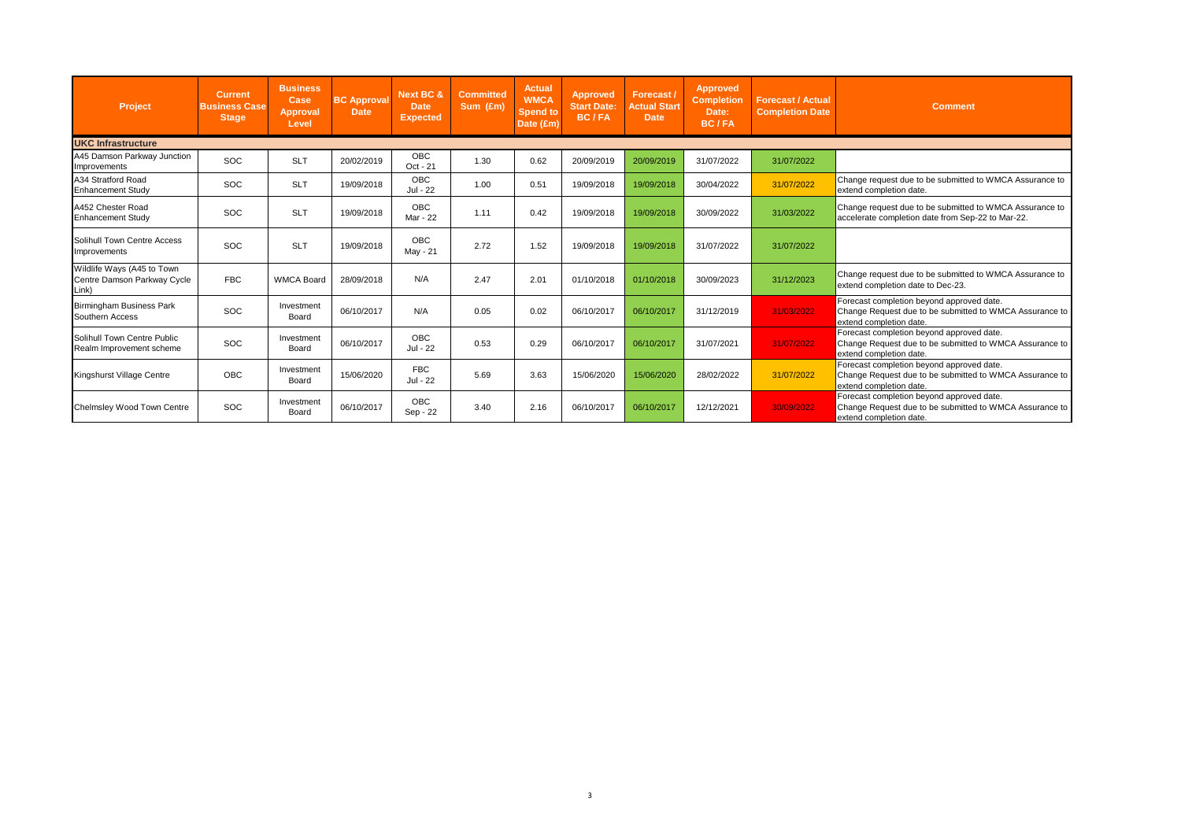| <b>Project</b>                                                     | <b>Current</b><br><b>Business Case</b><br><b>Stage</b> | <b>Business</b><br>Case<br>Approval<br>Level | <b>BC Approval</b><br><b>Date</b> | Next BC &<br><b>Date</b><br><b>Expected</b> | <b>Committed</b><br>Sum (£m) | <b>Actual</b><br><b>WMCA</b><br><b>Spend to</b><br>Date (£m) | <b>Approved</b><br><b>Start Date:</b><br>BC/FA | Forecast /<br><b>Actual Start</b><br><b>Date</b> | Approved<br><b>Completion</b><br>Date:<br>BC/FA | <b>Forecast / Actual</b><br><b>Completion Date</b> | <b>Comment</b>                                                                                                                  |
|--------------------------------------------------------------------|--------------------------------------------------------|----------------------------------------------|-----------------------------------|---------------------------------------------|------------------------------|--------------------------------------------------------------|------------------------------------------------|--------------------------------------------------|-------------------------------------------------|----------------------------------------------------|---------------------------------------------------------------------------------------------------------------------------------|
| <b>UKC Infrastructure</b>                                          |                                                        |                                              |                                   |                                             |                              |                                                              |                                                |                                                  |                                                 |                                                    |                                                                                                                                 |
| A45 Damson Parkway Junction<br>Improvements                        | SOC                                                    | <b>SLT</b>                                   | 20/02/2019                        | OBC<br>Oct - 21                             | 1.30                         | 0.62                                                         | 20/09/2019                                     | 20/09/2019                                       | 31/07/2022                                      | 31/07/2022                                         |                                                                                                                                 |
| A34 Stratford Road<br><b>Enhancement Study</b>                     | SOC                                                    | <b>SLT</b>                                   | 19/09/2018                        | <b>OBC</b><br>Jul - 22                      | 1.00                         | 0.51                                                         | 19/09/2018                                     | 19/09/2018                                       | 30/04/2022                                      | 31/07/2022                                         | Change request due to be submitted to WMCA Assurance to<br>extend completion date.                                              |
| A452 Chester Road<br><b>Enhancement Study</b>                      | SOC                                                    | <b>SLT</b>                                   | 19/09/2018                        | <b>OBC</b><br>Mar - 22                      | 1.11                         | 0.42                                                         | 19/09/2018                                     | 19/09/2018                                       | 30/09/2022                                      | 31/03/2022                                         | Change request due to be submitted to WMCA Assurance to<br>accelerate completion date from Sep-22 to Mar-22.                    |
| Solihull Town Centre Access<br>Improvements                        | SOC                                                    | <b>SLT</b>                                   | 19/09/2018                        | <b>OBC</b><br>May - 21                      | 2.72                         | 1.52                                                         | 19/09/2018                                     | 19/09/2018                                       | 31/07/2022                                      | 31/07/2022                                         |                                                                                                                                 |
| Wildlife Ways (A45 to Town<br>Centre Damson Parkway Cycle<br>Link) | <b>FBC</b>                                             | <b>WMCA Board</b>                            | 28/09/2018                        | N/A                                         | 2.47                         | 2.01                                                         | 01/10/2018                                     | 01/10/2018                                       | 30/09/2023                                      | 31/12/2023                                         | Change request due to be submitted to WMCA Assurance to<br>extend completion date to Dec-23.                                    |
| <b>Birmingham Business Park</b><br>Southern Access                 | SOC                                                    | Investment<br>Board                          | 06/10/2017                        | N/A                                         | 0.05                         | 0.02                                                         | 06/10/2017                                     | 06/10/2017                                       | 31/12/2019                                      | 31/03/2022                                         | Forecast completion beyond approved date.<br>Change Request due to be submitted to WMCA Assurance to<br>extend completion date. |
| Solihull Town Centre Public<br>Realm Improvement scheme            | <b>SOC</b>                                             | Investment<br>Board                          | 06/10/2017                        | <b>OBC</b><br>Jul - 22                      | 0.53                         | 0.29                                                         | 06/10/2017                                     | 06/10/2017                                       | 31/07/2021                                      | 31/07/2022                                         | Forecast completion beyond approved date.<br>Change Request due to be submitted to WMCA Assurance to<br>extend completion date. |
| Kingshurst Village Centre                                          | OBC                                                    | Investment<br>Board                          | 15/06/2020                        | <b>FBC</b><br>Jul - 22                      | 5.69                         | 3.63                                                         | 15/06/2020                                     | 15/06/2020                                       | 28/02/2022                                      | 31/07/2022                                         | Forecast completion beyond approved date.<br>Change Request due to be submitted to WMCA Assurance to<br>extend completion date. |
| Chelmsley Wood Town Centre                                         | SOC                                                    | Investment<br>Board                          | 06/10/2017                        | OBC<br>Sep - 22                             | 3.40                         | 2.16                                                         | 06/10/2017                                     | 06/10/2017                                       | 12/12/2021                                      | 30/09/2022                                         | Forecast completion beyond approved date.<br>Change Request due to be submitted to WMCA Assurance to<br>extend completion date. |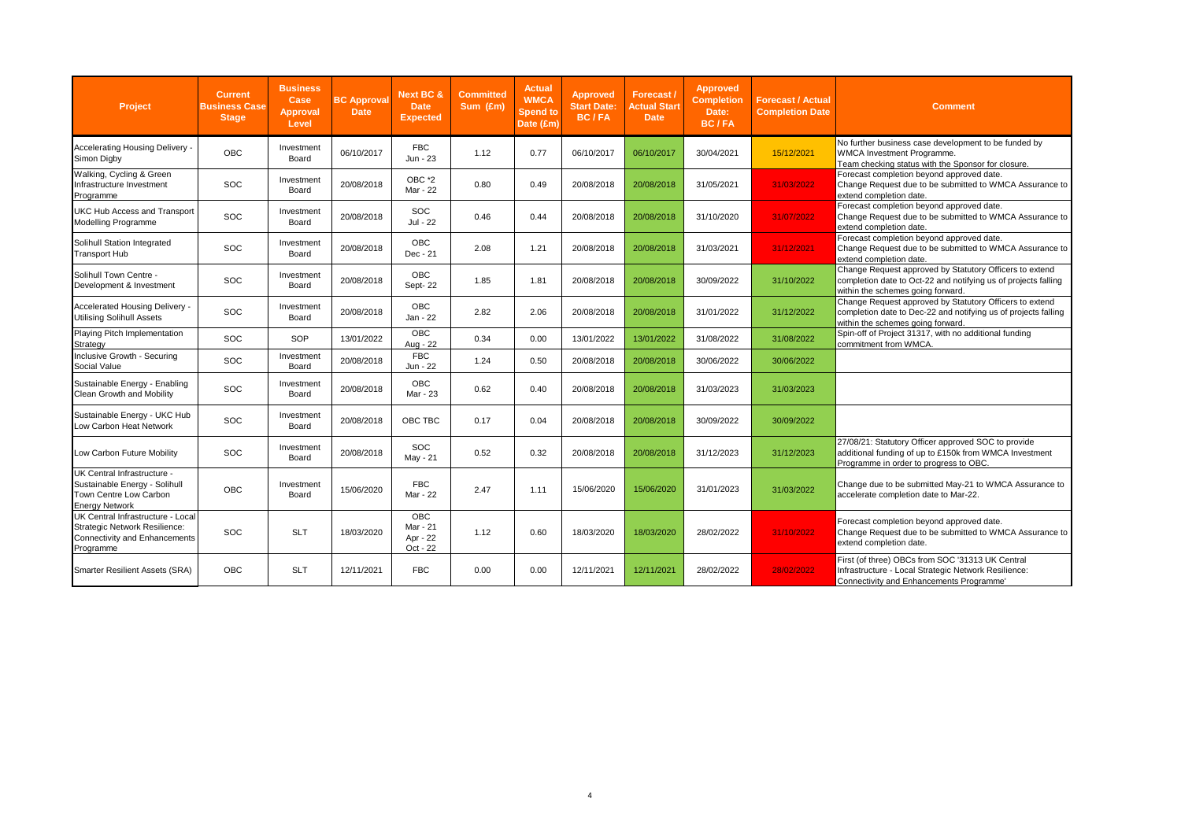| Project                                                                                                                 | <b>Current</b><br><b>Business Case</b><br><b>Stage</b> | <b>Business</b><br>Case<br>Approval<br>Level | <b>BC Approval</b><br><b>Date</b> | Next BC &<br><b>Date</b><br><b>Expected</b>    | <b>Committed</b><br>Sum (£m) | <b>Actual</b><br><b>WMCA</b><br><b>Spend to</b><br>Date (£m) | Approved<br><b>Start Date:</b><br>BC/FA | Forecast /<br><b>Actual Start</b><br><b>Date</b> | <b>Approved</b><br><b>Completion</b><br>Date:<br><b>BC/FA</b> | <b>Forecast / Actual</b><br><b>Completion Date</b> | <b>Comment</b>                                                                                                                                                 |
|-------------------------------------------------------------------------------------------------------------------------|--------------------------------------------------------|----------------------------------------------|-----------------------------------|------------------------------------------------|------------------------------|--------------------------------------------------------------|-----------------------------------------|--------------------------------------------------|---------------------------------------------------------------|----------------------------------------------------|----------------------------------------------------------------------------------------------------------------------------------------------------------------|
| Accelerating Housing Delivery -<br>Simon Digby                                                                          | <b>OBC</b>                                             | Investment<br>Board                          | 06/10/2017                        | <b>FBC</b><br>Jun - 23                         | 1.12                         | 0.77                                                         | 06/10/2017                              | 06/10/2017                                       | 30/04/2021                                                    | 15/12/2021                                         | No further business case development to be funded by<br>WMCA Investment Programme.<br>Team checking status with the Sponsor for closure.                       |
| Walking, Cycling & Green<br>Infrastructure Investment<br>Programme                                                      | <b>SOC</b>                                             | Investment<br>Board                          | 20/08/2018                        | OBC *2<br>Mar - 22                             | 0.80                         | 0.49                                                         | 20/08/2018                              | 20/08/2018                                       | 31/05/2021                                                    | 31/03/2022                                         | Forecast completion beyond approved date.<br>Change Request due to be submitted to WMCA Assurance to<br>extend completion date.                                |
| <b>UKC Hub Access and Transport</b><br>Modelling Programme                                                              | SOC                                                    | Investment<br>Board                          | 20/08/2018                        | <b>SOC</b><br>Jul - 22                         | 0.46                         | 0.44                                                         | 20/08/2018                              | 20/08/2018                                       | 31/10/2020                                                    | 31/07/2022                                         | Forecast completion beyond approved date.<br>Change Request due to be submitted to WMCA Assurance to<br>extend completion date.                                |
| Solihull Station Integrated<br><b>Transport Hub</b>                                                                     | SOC                                                    | Investment<br>Board                          | 20/08/2018                        | <b>OBC</b><br>Dec - 21                         | 2.08                         | 1.21                                                         | 20/08/2018                              | 20/08/2018                                       | 31/03/2021                                                    | 31/12/2021                                         | Forecast completion beyond approved date.<br>Change Request due to be submitted to WMCA Assurance to<br>extend completion date.                                |
| Solihull Town Centre -<br>Development & Investment                                                                      | SOC                                                    | Investment<br>Board                          | 20/08/2018                        | <b>OBC</b><br>Sept-22                          | 1.85                         | 1.81                                                         | 20/08/2018                              | 20/08/2018                                       | 30/09/2022                                                    | 31/10/2022                                         | Change Request approved by Statutory Officers to extend<br>completion date to Oct-22 and notifying us of projects falling<br>within the schemes going forward. |
| Accelerated Housing Delivery -<br><b>Utilising Solihull Assets</b>                                                      | SOC                                                    | Investment<br>Board                          | 20/08/2018                        | <b>OBC</b><br>Jan - 22                         | 2.82                         | 2.06                                                         | 20/08/2018                              | 20/08/2018                                       | 31/01/2022                                                    | 31/12/2022                                         | Change Request approved by Statutory Officers to extend<br>completion date to Dec-22 and notifying us of projects falling<br>within the schemes going forward. |
| Playing Pitch Implementation<br>Strategy                                                                                | <b>SOC</b>                                             | SOP                                          | 13/01/2022                        | <b>OBC</b><br>Aug - 22                         | 0.34                         | 0.00                                                         | 13/01/2022                              | 13/01/2022                                       | 31/08/2022                                                    | 31/08/2022                                         | Spin-off of Project 31317, with no additional funding<br>commitment from WMCA.                                                                                 |
| Inclusive Growth - Securing<br>Social Value                                                                             | SOC                                                    | Investment<br>Board                          | 20/08/2018                        | <b>FBC</b><br>Jun - 22                         | 1.24                         | 0.50                                                         | 20/08/2018                              | 20/08/2018                                       | 30/06/2022                                                    | 30/06/2022                                         |                                                                                                                                                                |
| Sustainable Energy - Enabling<br>Clean Growth and Mobility                                                              | SOC                                                    | Investment<br>Board                          | 20/08/2018                        | OBC<br>Mar - 23                                | 0.62                         | 0.40                                                         | 20/08/2018                              | 20/08/2018                                       | 31/03/2023                                                    | 31/03/2023                                         |                                                                                                                                                                |
| Sustainable Energy - UKC Hub<br>Low Carbon Heat Network                                                                 | SOC                                                    | Investment<br>Board                          | 20/08/2018                        | OBC TBC                                        | 0.17                         | 0.04                                                         | 20/08/2018                              | 20/08/2018                                       | 30/09/2022                                                    | 30/09/2022                                         |                                                                                                                                                                |
| Low Carbon Future Mobility                                                                                              | SOC                                                    | Investment<br>Board                          | 20/08/2018                        | SOC<br>May - 21                                | 0.52                         | 0.32                                                         | 20/08/2018                              | 20/08/2018                                       | 31/12/2023                                                    | 31/12/2023                                         | 27/08/21: Statutory Officer approved SOC to provide<br>additional funding of up to £150k from WMCA Investment<br>Programme in order to progress to OBC.        |
| UK Central Infrastructure -<br>Sustainable Energy - Solihull<br>Town Centre Low Carbon<br><b>Energy Network</b>         | <b>OBC</b>                                             | Investment<br>Board                          | 15/06/2020                        | <b>FBC</b><br>Mar - 22                         | 2.47                         | 1.11                                                         | 15/06/2020                              | 15/06/2020                                       | 31/01/2023                                                    | 31/03/2022                                         | Change due to be submitted May-21 to WMCA Assurance to<br>accelerate completion date to Mar-22.                                                                |
| UK Central Infrastructure - Local<br>Strategic Network Resilience:<br><b>Connectivity and Enhancements</b><br>Programme | SOC                                                    | <b>SLT</b>                                   | 18/03/2020                        | <b>OBC</b><br>Mar - 21<br>Apr - 22<br>Oct - 22 | 1.12                         | 0.60                                                         | 18/03/2020                              | 18/03/2020                                       | 28/02/2022                                                    | 31/10/2022                                         | Forecast completion beyond approved date.<br>Change Request due to be submitted to WMCA Assurance to<br>extend completion date.                                |
| <b>Smarter Resilient Assets (SRA)</b>                                                                                   | <b>OBC</b>                                             | <b>SLT</b>                                   | 12/11/2021                        | <b>FBC</b>                                     | 0.00                         | 0.00                                                         | 12/11/2021                              | 12/11/2021                                       | 28/02/2022                                                    | 28/02/2022                                         | First (of three) OBCs from SOC '31313 UK Central<br>Infrastructure - Local Strategic Network Resilience:<br>Connectivity and Enhancements Programme'           |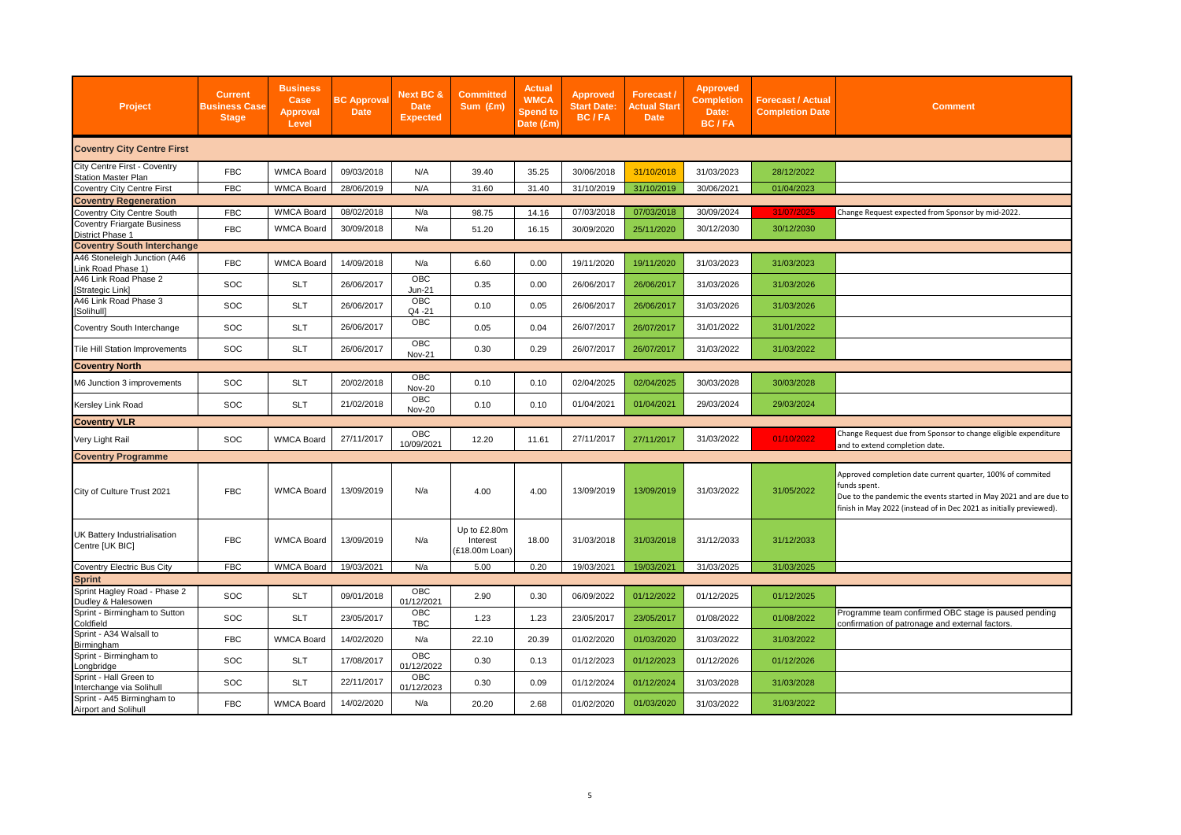| Project                                                    | <b>Current</b><br><b>Business Case</b><br><b>Stage</b> | <b>Business</b><br>Case,<br><b>Approval</b><br>Level | <b>BC Approval</b><br><b>Date</b> | <b>Next BC &amp;</b><br><b>Date</b><br><b>Expected</b> | Committed<br>Sum (£m)                      | <b>Actual</b><br><b>WMCA</b><br>Spend to<br>Date (£m) | <b>Approved</b><br><b>Start Date:</b><br>BC/FA | Forecast/<br><b>Actual Start</b><br><b>Date</b> | <b>Approved</b><br><b>Completion</b><br>Date:<br><b>BC/FA</b> | <b>Forecast / Actual</b><br><b>Completion Date</b> | <b>Comment</b>                                                                                                                                                                                                         |
|------------------------------------------------------------|--------------------------------------------------------|------------------------------------------------------|-----------------------------------|--------------------------------------------------------|--------------------------------------------|-------------------------------------------------------|------------------------------------------------|-------------------------------------------------|---------------------------------------------------------------|----------------------------------------------------|------------------------------------------------------------------------------------------------------------------------------------------------------------------------------------------------------------------------|
| <b>Coventry City Centre First</b>                          |                                                        |                                                      |                                   |                                                        |                                            |                                                       |                                                |                                                 |                                                               |                                                    |                                                                                                                                                                                                                        |
| City Centre First - Coventry<br><b>Station Master Plan</b> | <b>FBC</b>                                             | <b>WMCA Board</b>                                    | 09/03/2018                        | N/A                                                    | 39.40                                      | 35.25                                                 | 30/06/2018                                     | 31/10/2018                                      | 31/03/2023                                                    | 28/12/2022                                         |                                                                                                                                                                                                                        |
| <b>Coventry City Centre First</b>                          | <b>FBC</b>                                             | <b>WMCA Board</b>                                    | 28/06/2019                        | N/A                                                    | 31.60                                      | 31.40                                                 | 31/10/2019                                     | 31/10/2019                                      | 30/06/2021                                                    | 01/04/2023                                         |                                                                                                                                                                                                                        |
| <b>Coventry Regeneration</b>                               |                                                        |                                                      |                                   |                                                        |                                            |                                                       |                                                |                                                 |                                                               |                                                    |                                                                                                                                                                                                                        |
| Coventry City Centre South                                 | <b>FBC</b>                                             | <b>WMCA Board</b>                                    | 08/02/2018                        | N/a                                                    | 98.75                                      | 14.16                                                 | 07/03/2018                                     | 07/03/2018                                      | 30/09/2024                                                    | 31/07/2025                                         | Change Request expected from Sponsor by mid-2022.                                                                                                                                                                      |
| <b>Coventry Friargate Business</b><br>District Phase 1     | <b>FBC</b>                                             | <b>WMCA Board</b>                                    | 30/09/2018                        | N/a                                                    | 51.20                                      | 16.15                                                 | 30/09/2020                                     | 25/11/2020                                      | 30/12/2030                                                    | 30/12/2030                                         |                                                                                                                                                                                                                        |
| <b>Coventry South Interchange</b>                          |                                                        |                                                      |                                   |                                                        |                                            |                                                       |                                                |                                                 |                                                               |                                                    |                                                                                                                                                                                                                        |
| A46 Stoneleigh Junction (A46<br>ink Road Phase 1)          | <b>FBC</b>                                             | <b>WMCA Board</b>                                    | 14/09/2018                        | N/a                                                    | 6.60                                       | 0.00                                                  | 19/11/2020                                     | 19/11/2020                                      | 31/03/2023                                                    | 31/03/2023                                         |                                                                                                                                                                                                                        |
| A46 Link Road Phase 2<br>[Strategic Link]                  | SOC                                                    | <b>SLT</b>                                           | 26/06/2017                        | OBC<br>Jun-21                                          | 0.35                                       | 0.00                                                  | 26/06/2017                                     | 26/06/2017                                      | 31/03/2026                                                    | 31/03/2026                                         |                                                                                                                                                                                                                        |
| A46 Link Road Phase 3<br>[Solihull]                        | SOC                                                    | <b>SLT</b>                                           | 26/06/2017                        | OBC<br>Q4-21                                           | 0.10                                       | 0.05                                                  | 26/06/2017                                     | 26/06/2017                                      | 31/03/2026                                                    | 31/03/2026                                         |                                                                                                                                                                                                                        |
| Coventry South Interchange                                 | SOC                                                    | <b>SLT</b>                                           | 26/06/2017                        | OBC                                                    | 0.05                                       | 0.04                                                  | 26/07/2017                                     | 26/07/2017                                      | 31/01/2022                                                    | 31/01/2022                                         |                                                                                                                                                                                                                        |
| Tile Hill Station Improvements                             | SOC                                                    | <b>SLT</b>                                           | 26/06/2017                        | OBC<br><b>Nov-21</b>                                   | 0.30                                       | 0.29                                                  | 26/07/2017                                     | 26/07/2017                                      | 31/03/2022                                                    | 31/03/2022                                         |                                                                                                                                                                                                                        |
| <b>Coventry North</b>                                      |                                                        |                                                      |                                   |                                                        |                                            |                                                       |                                                |                                                 |                                                               |                                                    |                                                                                                                                                                                                                        |
| M6 Junction 3 improvements                                 | SOC                                                    | <b>SLT</b>                                           | 20/02/2018                        | OBC<br><b>Nov-20</b>                                   | 0.10                                       | 0.10                                                  | 02/04/2025                                     | 02/04/2025                                      | 30/03/2028                                                    | 30/03/2028                                         |                                                                                                                                                                                                                        |
| Kersley Link Road                                          | SOC                                                    | <b>SLT</b>                                           | 21/02/2018                        | OBC<br><b>Nov-20</b>                                   | 0.10                                       | 0.10                                                  | 01/04/2021                                     | 01/04/2021                                      | 29/03/2024                                                    | 29/03/2024                                         |                                                                                                                                                                                                                        |
| <b>Coventry VLR</b>                                        |                                                        |                                                      |                                   |                                                        |                                            |                                                       |                                                |                                                 |                                                               |                                                    |                                                                                                                                                                                                                        |
| Very Light Rail                                            | SOC                                                    | <b>WMCA Board</b>                                    | 27/11/2017                        | OBC<br>10/09/2021                                      | 12.20                                      | 11.61                                                 | 27/11/2017                                     | 27/11/2017                                      | 31/03/2022                                                    | 01/10/2022                                         | Change Request due from Sponsor to change eligible expenditure<br>and to extend completion date.                                                                                                                       |
| <b>Coventry Programme</b>                                  |                                                        |                                                      |                                   |                                                        |                                            |                                                       |                                                |                                                 |                                                               |                                                    |                                                                                                                                                                                                                        |
| City of Culture Trust 2021                                 | <b>FBC</b>                                             | <b>WMCA Board</b>                                    | 13/09/2019                        | N/a                                                    | 4.00                                       | 4.00                                                  | 13/09/2019                                     | 13/09/2019                                      | 31/03/2022                                                    | 31/05/2022                                         | Approved completion date current quarter, 100% of commited<br>funds spent.<br>Due to the pandemic the events started in May 2021 and are due to<br>finish in May 2022 (instead of in Dec 2021 as initially previewed). |
| UK Battery Industrialisation<br>Centre [UK BIC]            | <b>FBC</b>                                             | <b>WMCA Board</b>                                    | 13/09/2019                        | N/a                                                    | Up to £2.80m<br>Interest<br>(£18.00m Loan) | 18.00                                                 | 31/03/2018                                     | 31/03/2018                                      | 31/12/2033                                                    | 31/12/2033                                         |                                                                                                                                                                                                                        |
| Coventry Electric Bus City                                 | <b>FBC</b>                                             | <b>WMCA Board</b>                                    | 19/03/2021                        | N/a                                                    | 5.00                                       | 0.20                                                  | 19/03/2021                                     | 19/03/2021                                      | 31/03/2025                                                    | 31/03/2025                                         |                                                                                                                                                                                                                        |
| <b>Sprint</b>                                              |                                                        |                                                      |                                   |                                                        |                                            |                                                       |                                                |                                                 |                                                               |                                                    |                                                                                                                                                                                                                        |
| Sprint Hagley Road - Phase 2<br>Dudley & Halesowen         | SOC                                                    | <b>SLT</b>                                           | 09/01/2018                        | OBC<br>01/12/2021                                      | 2.90                                       | 0.30                                                  | 06/09/2022                                     | 01/12/2022                                      | 01/12/2025                                                    | 01/12/2025                                         |                                                                                                                                                                                                                        |
| Sprint - Birmingham to Sutton<br>Coldfield                 | SOC                                                    | <b>SLT</b>                                           | 23/05/2017                        | OBC<br><b>TBC</b>                                      | 1.23                                       | 1.23                                                  | 23/05/2017                                     | 23/05/2017                                      | 01/08/2022                                                    | 01/08/2022                                         | Programme team confirmed OBC stage is paused pending<br>confirmation of patronage and external factors.                                                                                                                |
| Sprint - A34 Walsall to<br>Birmingham                      | <b>FBC</b>                                             | <b>WMCA Board</b>                                    | 14/02/2020                        | N/a                                                    | 22.10                                      | 20.39                                                 | 01/02/2020                                     | 01/03/2020                                      | 31/03/2022                                                    | 31/03/2022                                         |                                                                                                                                                                                                                        |
| Sprint - Birmingham to<br>_ongbridge                       | SOC                                                    | <b>SLT</b>                                           | 17/08/2017                        | OBC<br>01/12/2022                                      | 0.30                                       | 0.13                                                  | 01/12/2023                                     | 01/12/2023                                      | 01/12/2026                                                    | 01/12/2026                                         |                                                                                                                                                                                                                        |
| Sprint - Hall Green to<br>nterchange via Solihull          | SOC                                                    | <b>SLT</b>                                           | 22/11/2017                        | OBC<br>01/12/2023                                      | 0.30                                       | 0.09                                                  | 01/12/2024                                     | 01/12/2024                                      | 31/03/2028                                                    | 31/03/2028                                         |                                                                                                                                                                                                                        |
| Sprint - A45 Birmingham to<br>Airport and Solihull         | <b>FBC</b>                                             | <b>WMCA Board</b>                                    | 14/02/2020                        | N/a                                                    | 20.20                                      | 2.68                                                  | 01/02/2020                                     | 01/03/2020                                      | 31/03/2022                                                    | 31/03/2022                                         |                                                                                                                                                                                                                        |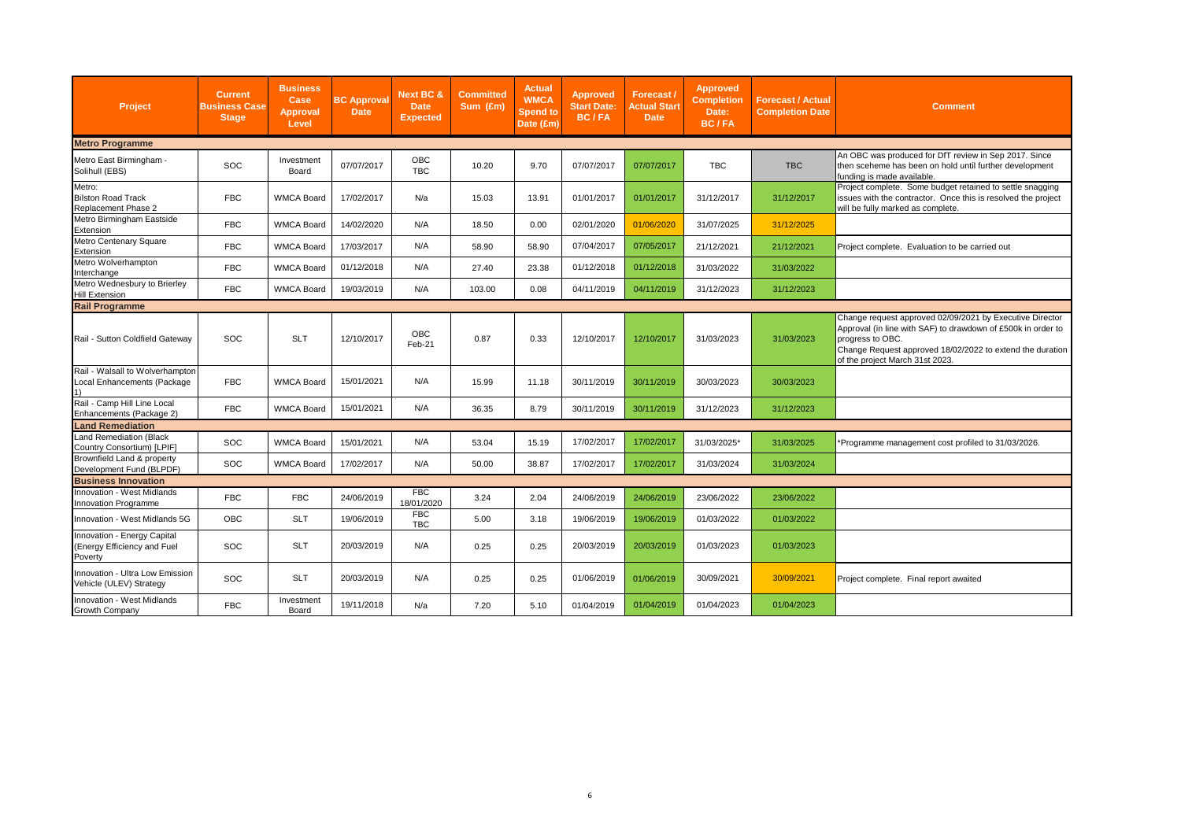| <b>Project</b>                                                        | <b>Current</b><br><b>Business Case</b><br><b>Stage</b> | <b>Business</b><br>Case<br>Approval<br>Level | <b>BC Approval</b><br><b>Date</b> | <b>Next BC &amp;</b><br><b>Date</b><br><b>Expected</b> | <b>Committed</b><br>Sum (£m) | <b>Actual</b><br><b>WMCA</b><br><b>Spend to</b><br>Date (£m) | <b>Approved</b><br><b>Start Date:</b><br>BC/FA | Forecast/<br><b>Actual Start</b><br><b>Date</b> | <b>Approved</b><br><b>Completion</b><br>Date:<br>BC/FA | <b>Forecast / Actual</b><br><b>Completion Date</b> | <b>Comment</b>                                                                                                                                                                                                                               |
|-----------------------------------------------------------------------|--------------------------------------------------------|----------------------------------------------|-----------------------------------|--------------------------------------------------------|------------------------------|--------------------------------------------------------------|------------------------------------------------|-------------------------------------------------|--------------------------------------------------------|----------------------------------------------------|----------------------------------------------------------------------------------------------------------------------------------------------------------------------------------------------------------------------------------------------|
| <b>Metro Programme</b>                                                |                                                        |                                              |                                   |                                                        |                              |                                                              |                                                |                                                 |                                                        |                                                    |                                                                                                                                                                                                                                              |
| Metro East Birmingham -<br>Solihull (EBS)                             | <b>SOC</b>                                             | Investment<br>Board                          | 07/07/2017                        | OBC<br><b>TBC</b>                                      | 10.20                        | 9.70                                                         | 07/07/2017                                     | 07/07/2017                                      | <b>TBC</b>                                             | <b>TBC</b>                                         | An OBC was produced for DfT review in Sep 2017. Since<br>then sceheme has been on hold until further development<br>funding is made available.                                                                                               |
| Metro:<br><b>Bilston Road Track</b><br>Replacement Phase 2            | <b>FBC</b>                                             | <b>WMCA Board</b>                            | 17/02/2017                        | N/a                                                    | 15.03                        | 13.91                                                        | 01/01/2017                                     | 01/01/2017                                      | 31/12/2017                                             | 31/12/2017                                         | Project complete. Some budget retained to settle snagging<br>issues with the contractor. Once this is resolved the project<br>will be fully marked as complete.                                                                              |
| Metro Birmingham Eastside<br>Extension                                | <b>FBC</b>                                             | <b>WMCA Board</b>                            | 14/02/2020                        | N/A                                                    | 18.50                        | 0.00                                                         | 02/01/2020                                     | 01/06/2020                                      | 31/07/2025                                             | 31/12/2025                                         |                                                                                                                                                                                                                                              |
| Metro Centenary Square<br>Extension                                   | <b>FBC</b>                                             | <b>WMCA Board</b>                            | 17/03/2017                        | N/A                                                    | 58.90                        | 58.90                                                        | 07/04/2017                                     | 07/05/2017                                      | 21/12/2021                                             | 21/12/2021                                         | Project complete. Evaluation to be carried out                                                                                                                                                                                               |
| Metro Wolverhampton<br>Interchange                                    | <b>FBC</b>                                             | <b>WMCA Board</b>                            | 01/12/2018                        | N/A                                                    | 27.40                        | 23.38                                                        | 01/12/2018                                     | 01/12/2018                                      | 31/03/2022                                             | 31/03/2022                                         |                                                                                                                                                                                                                                              |
| Metro Wednesbury to Brierley<br><b>Hill Extension</b>                 | <b>FBC</b>                                             | <b>WMCA Board</b>                            | 19/03/2019                        | N/A                                                    | 103.00                       | 0.08                                                         | 04/11/2019                                     | 04/11/2019                                      | 31/12/2023                                             | 31/12/2023                                         |                                                                                                                                                                                                                                              |
| <b>Rail Programme</b>                                                 |                                                        |                                              |                                   |                                                        |                              |                                                              |                                                |                                                 |                                                        |                                                    |                                                                                                                                                                                                                                              |
| Rail - Sutton Coldfield Gateway                                       | SOC                                                    | <b>SLT</b>                                   | 12/10/2017                        | <b>OBC</b><br>Feb-21                                   | 0.87                         | 0.33                                                         | 12/10/2017                                     | 12/10/2017                                      | 31/03/2023                                             | 31/03/2023                                         | Change request approved 02/09/2021 by Executive Director<br>Approval (in line with SAF) to drawdown of £500k in order to<br>progress to OBC.<br>Change Request approved 18/02/2022 to extend the duration<br>of the project March 31st 2023. |
| Rail - Walsall to Wolverhampton<br>Local Enhancements (Package        | <b>FBC</b>                                             | <b>WMCA Board</b>                            | 15/01/2021                        | N/A                                                    | 15.99                        | 11.18                                                        | 30/11/2019                                     | 30/11/2019                                      | 30/03/2023                                             | 30/03/2023                                         |                                                                                                                                                                                                                                              |
| Rail - Camp Hill Line Local<br>Enhancements (Package 2)               | <b>FBC</b>                                             | <b>WMCA Board</b>                            | 15/01/2021                        | N/A                                                    | 36.35                        | 8.79                                                         | 30/11/2019                                     | 30/11/2019                                      | 31/12/2023                                             | 31/12/2023                                         |                                                                                                                                                                                                                                              |
| <b>Land Remediation</b>                                               |                                                        |                                              |                                   |                                                        |                              |                                                              |                                                |                                                 |                                                        |                                                    |                                                                                                                                                                                                                                              |
| <b>Land Remediation (Black</b><br>Country Consortium) [LPIF]          | SOC                                                    | <b>WMCA Board</b>                            | 15/01/2021                        | N/A                                                    | 53.04                        | 15.19                                                        | 17/02/2017                                     | 17/02/2017                                      | 31/03/2025*                                            | 31/03/2025                                         | *Programme management cost profiled to 31/03/2026.                                                                                                                                                                                           |
| Brownfield Land & property<br>Development Fund (BLPDF)                | <b>SOC</b>                                             | <b>WMCA Board</b>                            | 17/02/2017                        | N/A                                                    | 50.00                        | 38.87                                                        | 17/02/2017                                     | 17/02/2017                                      | 31/03/2024                                             | 31/03/2024                                         |                                                                                                                                                                                                                                              |
| <b>Business Innovation</b>                                            |                                                        |                                              |                                   |                                                        |                              |                                                              |                                                |                                                 |                                                        |                                                    |                                                                                                                                                                                                                                              |
| Innovation - West Midlands<br>Innovation Programme                    | <b>FBC</b>                                             | <b>FBC</b>                                   | 24/06/2019                        | <b>FBC</b><br>18/01/2020                               | 3.24                         | 2.04                                                         | 24/06/2019                                     | 24/06/2019                                      | 23/06/2022                                             | 23/06/2022                                         |                                                                                                                                                                                                                                              |
| Innovation - West Midlands 5G                                         | OBC                                                    | <b>SLT</b>                                   | 19/06/2019                        | <b>FBC</b><br><b>TBC</b>                               | 5.00                         | 3.18                                                         | 19/06/2019                                     | 19/06/2019                                      | 01/03/2022                                             | 01/03/2022                                         |                                                                                                                                                                                                                                              |
| Innovation - Energy Capital<br>(Energy Efficiency and Fuel<br>Poverty | SOC                                                    | <b>SLT</b>                                   | 20/03/2019                        | N/A                                                    | 0.25                         | 0.25                                                         | 20/03/2019                                     | 20/03/2019                                      | 01/03/2023                                             | 01/03/2023                                         |                                                                                                                                                                                                                                              |
| Innovation - Ultra Low Emission<br>Vehicle (ULEV) Strategy            | SOC                                                    | <b>SLT</b>                                   | 20/03/2019                        | N/A                                                    | 0.25                         | 0.25                                                         | 01/06/2019                                     | 01/06/2019                                      | 30/09/2021                                             | 30/09/2021                                         | Project complete. Final report awaited                                                                                                                                                                                                       |
| Innovation - West Midlands<br>Growth Company                          | <b>FBC</b>                                             | Investment<br>Board                          | 19/11/2018                        | N/a                                                    | 7.20                         | 5.10                                                         | 01/04/2019                                     | 01/04/2019                                      | 01/04/2023                                             | 01/04/2023                                         |                                                                                                                                                                                                                                              |